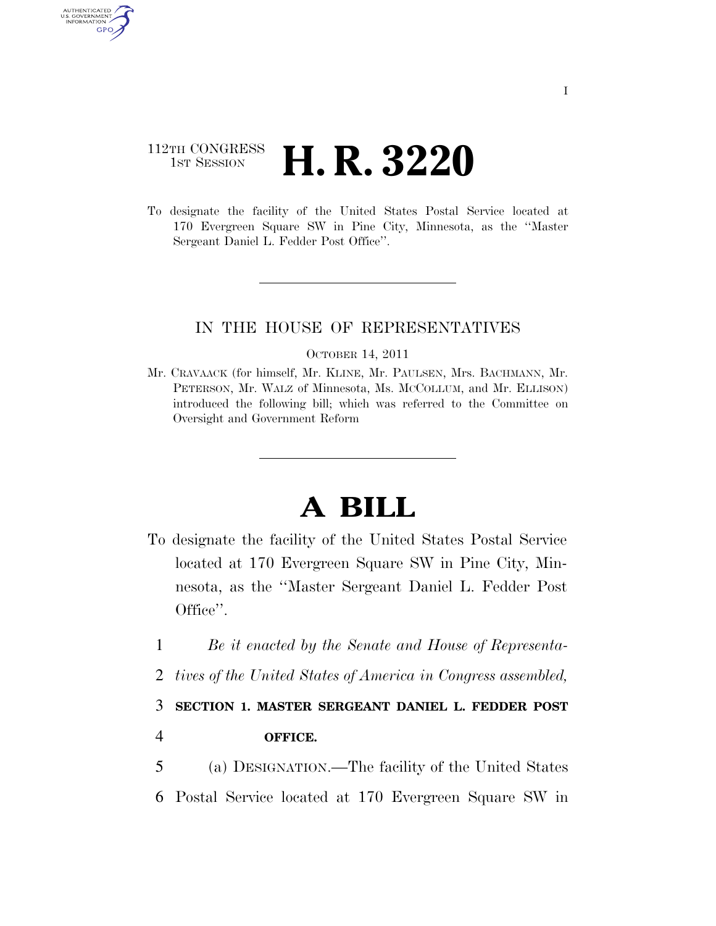# 112TH CONGRESS <sup>TH CONGRESS</sup> **H. R. 3220**

AUTHENTICATED U.S. GOVERNMENT GPO

> To designate the facility of the United States Postal Service located at 170 Evergreen Square SW in Pine City, Minnesota, as the ''Master Sergeant Daniel L. Fedder Post Office''.

## IN THE HOUSE OF REPRESENTATIVES

#### OCTOBER 14, 2011

Mr. CRAVAACK (for himself, Mr. KLINE, Mr. PAULSEN, Mrs. BACHMANN, Mr. PETERSON, Mr. WALZ of Minnesota, Ms. MCCOLLUM, and Mr. ELLISON) introduced the following bill; which was referred to the Committee on Oversight and Government Reform

# **A BILL**

- To designate the facility of the United States Postal Service located at 170 Evergreen Square SW in Pine City, Minnesota, as the ''Master Sergeant Daniel L. Fedder Post Office''.
	- 1 *Be it enacted by the Senate and House of Representa-*
	- 2 *tives of the United States of America in Congress assembled,*

### 3 **SECTION 1. MASTER SERGEANT DANIEL L. FEDDER POST**

- 4 **OFFICE.**
- 5 (a) DESIGNATION.—The facility of the United States
- 6 Postal Service located at 170 Evergreen Square SW in